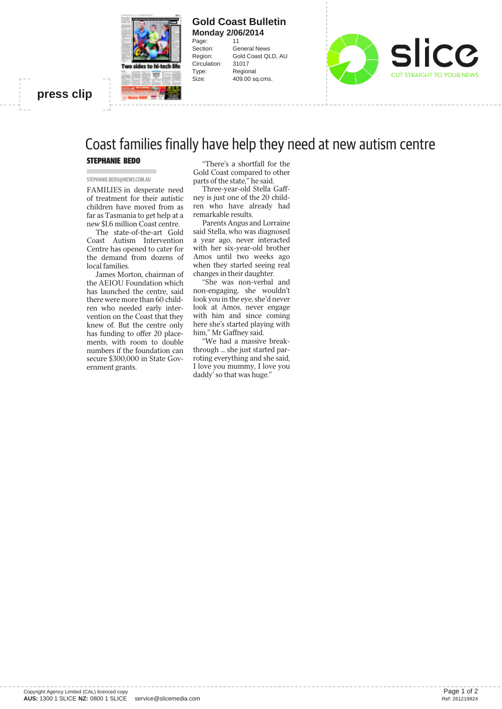

#### **Gold Coast Bulletin Monday 2/06/2014** Page: 11

Circulation: 31017 Type: Regional

Section: General News Region: Gold Coast QLD, AU Size: 409.00 sq.cms.



### **press clip**

# Coast families finally have help they need at new autism centre

#### STEPHANIE BEDO

#### STEPHANIE.BEDO@NEWS.COM.AU

FAMILIES in desperate need of treatment for their autistic children have moved from as far as Tasmania to get help at a new \$1.6 million Coast centre.

The state-of-the-art Gold Coast Autism Intervention Centre has opened to cater for the demand from dozens of local families.

James Morton, chairman of the AEIOU Foundation which has launched the centre, said there were more than 60 children who needed early intervention on the Coast that they knew of. But the centre only has funding to offer 20 placements, with room to double numbers if the foundation can secure \$300,000 in State Government grants.

"There's a shortfall for the Gold Coast compared to other parts of the state," he said.

Three-year-old Stella Gaffney is just one of the 20 children who have already had remarkable results.

Parents Angus and Lorraine said Stella, who was diagnosed a year ago, never interacted with her six-year-old brother Amos until two weeks ago when they started seeing real changes in their daughter.

"She was non-verbal and non-engaging, she wouldn't look you in the eye, she'd never look at Amos, never engage with him and since coming here she's started playing with him," Mr Gaffney said.

"We had a massive breakthrough ... she just started parroting everything and she said, I love you mummy, I love you daddy' so that was huge."